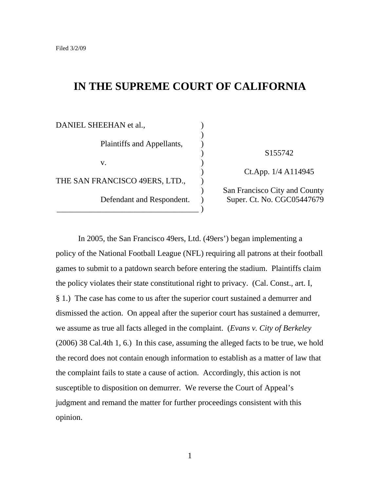# **IN THE SUPREME COURT OF CALIFORNIA**

| DANIEL SHEEHAN et al.,         |                        |
|--------------------------------|------------------------|
| Plaintiffs and Appellants,     |                        |
|                                |                        |
|                                | S <sub>155742</sub>    |
| V.                             |                        |
|                                | $Ct$ . App. $1/4$ A1   |
| THE SAN FRANCISCO 49ERS, LTD., |                        |
| Defendant and Respondent.      | San Francisco City and |
|                                | Super. Ct. No. CGC0    |
|                                |                        |

) Ct.App. 1/4 A114945

) San Francisco City and County Super. Ct. No. CGC05447679

In 2005, the San Francisco 49ers, Ltd. (49ers') began implementing a policy of the National Football League (NFL) requiring all patrons at their football games to submit to a patdown search before entering the stadium. Plaintiffs claim the policy violates their state constitutional right to privacy. (Cal. Const., art. I, § 1.) The case has come to us after the superior court sustained a demurrer and dismissed the action. On appeal after the superior court has sustained a demurrer, we assume as true all facts alleged in the complaint. (*Evans v. City of Berkeley* (2006) 38 Cal.4th 1, 6.) In this case, assuming the alleged facts to be true, we hold the record does not contain enough information to establish as a matter of law that the complaint fails to state a cause of action. Accordingly, this action is not susceptible to disposition on demurrer. We reverse the Court of Appeal's judgment and remand the matter for further proceedings consistent with this opinion.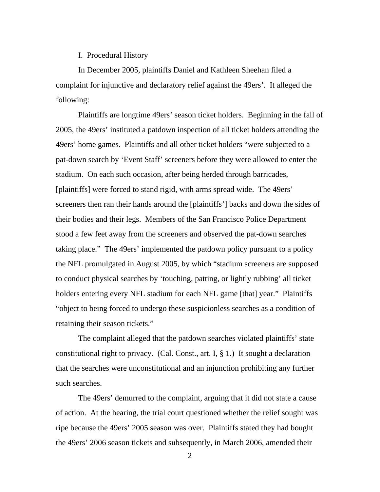## I. Procedural History

In December 2005, plaintiffs Daniel and Kathleen Sheehan filed a complaint for injunctive and declaratory relief against the 49ers'. It alleged the following:

Plaintiffs are longtime 49ers' season ticket holders. Beginning in the fall of 2005, the 49ers' instituted a patdown inspection of all ticket holders attending the 49ers' home games. Plaintiffs and all other ticket holders "were subjected to a pat-down search by 'Event Staff' screeners before they were allowed to enter the stadium. On each such occasion, after being herded through barricades, [plaintiffs] were forced to stand rigid, with arms spread wide. The 49ers' screeners then ran their hands around the [plaintiffs'] backs and down the sides of their bodies and their legs. Members of the San Francisco Police Department stood a few feet away from the screeners and observed the pat-down searches taking place." The 49ers' implemented the patdown policy pursuant to a policy the NFL promulgated in August 2005, by which "stadium screeners are supposed to conduct physical searches by 'touching, patting, or lightly rubbing' all ticket holders entering every NFL stadium for each NFL game [that] year." Plaintiffs "object to being forced to undergo these suspicionless searches as a condition of retaining their season tickets."

The complaint alleged that the patdown searches violated plaintiffs' state constitutional right to privacy. (Cal. Const., art. I, § 1.) It sought a declaration that the searches were unconstitutional and an injunction prohibiting any further such searches.

The 49ers' demurred to the complaint, arguing that it did not state a cause of action. At the hearing, the trial court questioned whether the relief sought was ripe because the 49ers' 2005 season was over. Plaintiffs stated they had bought the 49ers' 2006 season tickets and subsequently, in March 2006, amended their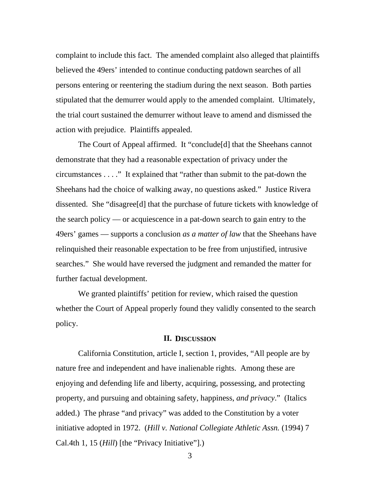complaint to include this fact. The amended complaint also alleged that plaintiffs believed the 49ers' intended to continue conducting patdown searches of all persons entering or reentering the stadium during the next season. Both parties stipulated that the demurrer would apply to the amended complaint. Ultimately, the trial court sustained the demurrer without leave to amend and dismissed the action with prejudice. Plaintiffs appealed.

The Court of Appeal affirmed. It "conclude[d] that the Sheehans cannot demonstrate that they had a reasonable expectation of privacy under the circumstances . . . ." It explained that "rather than submit to the pat-down the Sheehans had the choice of walking away, no questions asked." Justice Rivera dissented. She "disagree[d] that the purchase of future tickets with knowledge of the search policy — or acquiescence in a pat-down search to gain entry to the 49ers' games — supports a conclusion *as a matter of law* that the Sheehans have relinquished their reasonable expectation to be free from unjustified, intrusive searches." She would have reversed the judgment and remanded the matter for further factual development.

We granted plaintiffs' petition for review, which raised the question whether the Court of Appeal properly found they validly consented to the search policy.

## **II. DISCUSSION**

California Constitution, article I, section 1, provides, "All people are by nature free and independent and have inalienable rights. Among these are enjoying and defending life and liberty, acquiring, possessing, and protecting property, and pursuing and obtaining safety, happiness, *and privacy*." (Italics added.) The phrase "and privacy" was added to the Constitution by a voter initiative adopted in 1972. (*Hill v. National Collegiate Athletic Assn.* (1994) 7 Cal.4th 1, 15 (*Hill*) [the "Privacy Initiative"].)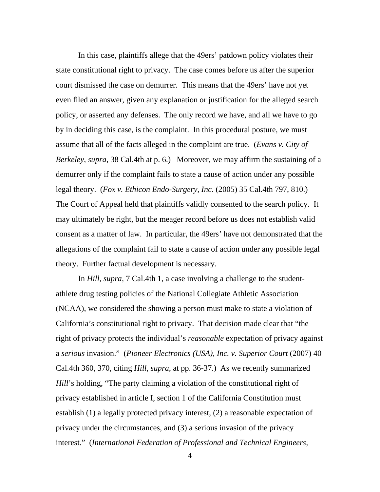In this case, plaintiffs allege that the 49ers' patdown policy violates their state constitutional right to privacy. The case comes before us after the superior court dismissed the case on demurrer. This means that the 49ers' have not yet even filed an answer, given any explanation or justification for the alleged search policy, or asserted any defenses. The only record we have, and all we have to go by in deciding this case, is the complaint. In this procedural posture, we must assume that all of the facts alleged in the complaint are true. (*Evans v. City of Berkeley*, *supra*, 38 Cal.4th at p. 6.) Moreover, we may affirm the sustaining of a demurrer only if the complaint fails to state a cause of action under any possible legal theory. (*Fox v. Ethicon Endo-Surgery, Inc.* (2005) 35 Cal.4th 797, 810.) The Court of Appeal held that plaintiffs validly consented to the search policy. It may ultimately be right, but the meager record before us does not establish valid consent as a matter of law. In particular, the 49ers' have not demonstrated that the allegations of the complaint fail to state a cause of action under any possible legal theory. Further factual development is necessary.

In *Hill*, *supra*, 7 Cal.4th 1, a case involving a challenge to the studentathlete drug testing policies of the National Collegiate Athletic Association (NCAA), we considered the showing a person must make to state a violation of California's constitutional right to privacy. That decision made clear that "the right of privacy protects the individual's *reasonable* expectation of privacy against a *serious* invasion." (*Pioneer Electronics (USA), Inc. v. Superior Court* (2007) 40 Cal.4th 360, 370, citing *Hill*, *supra*, at pp. 36-37.) As we recently summarized *Hill*'s holding, "The party claiming a violation of the constitutional right of privacy established in article I, section 1 of the California Constitution must establish (1) a legally protected privacy interest, (2) a reasonable expectation of privacy under the circumstances, and (3) a serious invasion of the privacy interest." (*International Federation of Professional and Technical Engineers,*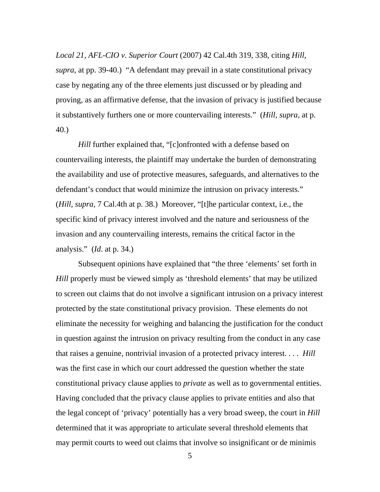*Local 21, AFL-CIO v. Superior Court* (2007) 42 Cal.4th 319, 338, citing *Hill*, *supra*, at pp. 39-40.) "A defendant may prevail in a state constitutional privacy case by negating any of the three elements just discussed or by pleading and proving, as an affirmative defense, that the invasion of privacy is justified because it substantively furthers one or more countervailing interests." (*Hill*, *supra*, at p. 40.)

*Hill* further explained that, "[c]onfronted with a defense based on countervailing interests, the plaintiff may undertake the burden of demonstrating the availability and use of protective measures, safeguards, and alternatives to the defendant's conduct that would minimize the intrusion on privacy interests." (*Hill*, *supra*, 7 Cal.4th at p. 38.) Moreover, "[t]he particular context, i.e., the specific kind of privacy interest involved and the nature and seriousness of the invasion and any countervailing interests, remains the critical factor in the analysis." (*Id*. at p. 34.)

Subsequent opinions have explained that "the three 'elements' set forth in *Hill* properly must be viewed simply as 'threshold elements' that may be utilized to screen out claims that do not involve a significant intrusion on a privacy interest protected by the state constitutional privacy provision. These elements do not eliminate the necessity for weighing and balancing the justification for the conduct in question against the intrusion on privacy resulting from the conduct in any case that raises a genuine, nontrivial invasion of a protected privacy interest. . . . *Hill* was the first case in which our court addressed the question whether the state constitutional privacy clause applies to *private* as well as to governmental entities. Having concluded that the privacy clause applies to private entities and also that the legal concept of 'privacy' potentially has a very broad sweep, the court in *Hill* determined that it was appropriate to articulate several threshold elements that may permit courts to weed out claims that involve so insignificant or de minimis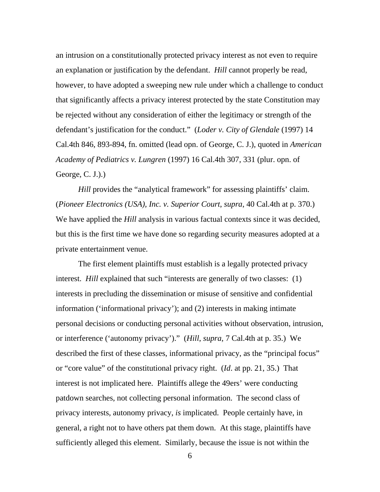an intrusion on a constitutionally protected privacy interest as not even to require an explanation or justification by the defendant. *Hill* cannot properly be read, however, to have adopted a sweeping new rule under which a challenge to conduct that significantly affects a privacy interest protected by the state Constitution may be rejected without any consideration of either the legitimacy or strength of the defendant's justification for the conduct." (*Loder v. City of Glendale* (1997) 14 Cal.4th 846, 893-894, fn. omitted (lead opn. of George, C. J.), quoted in *American Academy of Pediatrics v. Lungren* (1997) 16 Cal.4th 307, 331 (plur. opn. of George, C. J.).)

*Hill* provides the "analytical framework" for assessing plaintiffs' claim. (*Pioneer Electronics (USA), Inc. v. Superior Court*, *supra*, 40 Cal.4th at p. 370.) We have applied the *Hill* analysis in various factual contexts since it was decided, but this is the first time we have done so regarding security measures adopted at a private entertainment venue.

The first element plaintiffs must establish is a legally protected privacy interest. *Hill* explained that such "interests are generally of two classes: (1) interests in precluding the dissemination or misuse of sensitive and confidential information ('informational privacy'); and (2) interests in making intimate personal decisions or conducting personal activities without observation, intrusion, or interference ('autonomy privacy')." (*Hill*, *supra*, 7 Cal.4th at p. 35.) We described the first of these classes, informational privacy, as the "principal focus" or "core value" of the constitutional privacy right. (*Id*. at pp. 21, 35.) That interest is not implicated here. Plaintiffs allege the 49ers' were conducting patdown searches, not collecting personal information. The second class of privacy interests, autonomy privacy, *is* implicated. People certainly have, in general, a right not to have others pat them down. At this stage, plaintiffs have sufficiently alleged this element. Similarly, because the issue is not within the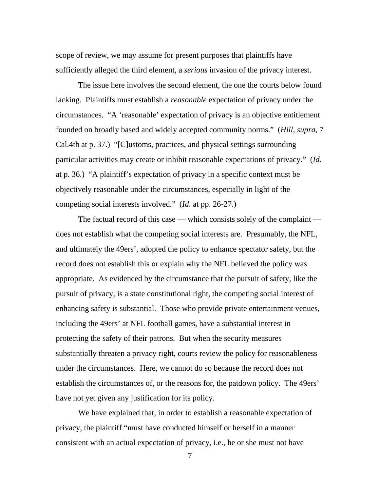scope of review, we may assume for present purposes that plaintiffs have sufficiently alleged the third element, a *serious* invasion of the privacy interest.

The issue here involves the second element, the one the courts below found lacking. Plaintiffs must establish a *reasonable* expectation of privacy under the circumstances. "A 'reasonable' expectation of privacy is an objective entitlement founded on broadly based and widely accepted community norms." (*Hill*, *supra*, 7 Cal.4th at p. 37.) "[C]ustoms, practices, and physical settings surrounding particular activities may create or inhibit reasonable expectations of privacy." (*Id*. at p. 36.) "A plaintiff's expectation of privacy in a specific context must be objectively reasonable under the circumstances, especially in light of the competing social interests involved." (*Id*. at pp. 26-27.)

The factual record of this case — which consists solely of the complaint does not establish what the competing social interests are. Presumably, the NFL, and ultimately the 49ers', adopted the policy to enhance spectator safety, but the record does not establish this or explain why the NFL believed the policy was appropriate. As evidenced by the circumstance that the pursuit of safety, like the pursuit of privacy, is a state constitutional right, the competing social interest of enhancing safety is substantial. Those who provide private entertainment venues, including the 49ers' at NFL football games, have a substantial interest in protecting the safety of their patrons. But when the security measures substantially threaten a privacy right, courts review the policy for reasonableness under the circumstances. Here, we cannot do so because the record does not establish the circumstances of, or the reasons for, the patdown policy. The 49ers' have not yet given any justification for its policy.

We have explained that, in order to establish a reasonable expectation of privacy, the plaintiff "must have conducted himself or herself in a manner consistent with an actual expectation of privacy, i.e., he or she must not have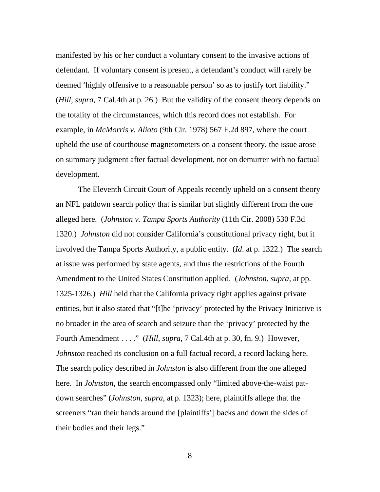manifested by his or her conduct a voluntary consent to the invasive actions of defendant. If voluntary consent is present, a defendant's conduct will rarely be deemed 'highly offensive to a reasonable person' so as to justify tort liability." (*Hill*, *supra*, 7 Cal.4th at p. 26.) But the validity of the consent theory depends on the totality of the circumstances, which this record does not establish. For example, in *McMorris v. Alioto* (9th Cir. 1978) 567 F.2d 897, where the court upheld the use of courthouse magnetometers on a consent theory, the issue arose on summary judgment after factual development, not on demurrer with no factual development.

The Eleventh Circuit Court of Appeals recently upheld on a consent theory an NFL patdown search policy that is similar but slightly different from the one alleged here. (*Johnston v. Tampa Sports Authority* (11th Cir. 2008) 530 F.3d 1320.) *Johnston* did not consider California's constitutional privacy right, but it involved the Tampa Sports Authority, a public entity. (*Id*. at p. 1322.) The search at issue was performed by state agents, and thus the restrictions of the Fourth Amendment to the United States Constitution applied. (*Johnston*, *supra*, at pp. 1325-1326.) *Hill* held that the California privacy right applies against private entities, but it also stated that "[t]he 'privacy' protected by the Privacy Initiative is no broader in the area of search and seizure than the 'privacy' protected by the Fourth Amendment . . . ." (*Hill*, *supra*, 7 Cal.4th at p. 30, fn. 9.) However, *Johnston* reached its conclusion on a full factual record, a record lacking here. The search policy described in *Johnston* is also different from the one alleged here. In *Johnston*, the search encompassed only "limited above-the-waist patdown searches" (*Johnston*, *supra*, at p. 1323); here, plaintiffs allege that the screeners "ran their hands around the [plaintiffs'] backs and down the sides of their bodies and their legs."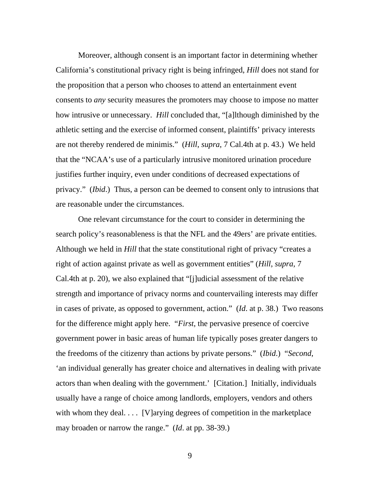Moreover, although consent is an important factor in determining whether California's constitutional privacy right is being infringed, *Hill* does not stand for the proposition that a person who chooses to attend an entertainment event consents to *any* security measures the promoters may choose to impose no matter how intrusive or unnecessary. *Hill* concluded that, "[a]lthough diminished by the athletic setting and the exercise of informed consent, plaintiffs' privacy interests are not thereby rendered de minimis." (*Hill*, *supra*, 7 Cal.4th at p. 43.) We held that the "NCAA's use of a particularly intrusive monitored urination procedure justifies further inquiry, even under conditions of decreased expectations of privacy." (*Ibid*.) Thus, a person can be deemed to consent only to intrusions that are reasonable under the circumstances.

One relevant circumstance for the court to consider in determining the search policy's reasonableness is that the NFL and the 49ers' are private entities. Although we held in *Hill* that the state constitutional right of privacy "creates a right of action against private as well as government entities" (*Hill*, *supra*, 7 Cal.4th at p. 20), we also explained that "[j]udicial assessment of the relative strength and importance of privacy norms and countervailing interests may differ in cases of private, as opposed to government, action." (*Id*. at p. 38.) Two reasons for the difference might apply here. "*First*, the pervasive presence of coercive government power in basic areas of human life typically poses greater dangers to the freedoms of the citizenry than actions by private persons." (*Ibid*.) "*Second*, 'an individual generally has greater choice and alternatives in dealing with private actors than when dealing with the government.' [Citation.] Initially, individuals usually have a range of choice among landlords, employers, vendors and others with whom they deal.... [V]arying degrees of competition in the marketplace may broaden or narrow the range." (*Id*. at pp. 38-39.)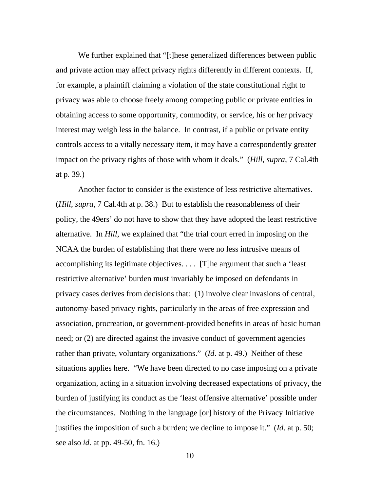We further explained that "[t]hese generalized differences between public and private action may affect privacy rights differently in different contexts. If, for example, a plaintiff claiming a violation of the state constitutional right to privacy was able to choose freely among competing public or private entities in obtaining access to some opportunity, commodity, or service, his or her privacy interest may weigh less in the balance. In contrast, if a public or private entity controls access to a vitally necessary item, it may have a correspondently greater impact on the privacy rights of those with whom it deals." (*Hill*, *supra*, 7 Cal.4th at p. 39.)

Another factor to consider is the existence of less restrictive alternatives. (*Hill*, *supra*, 7 Cal.4th at p. 38.) But to establish the reasonableness of their policy, the 49ers' do not have to show that they have adopted the least restrictive alternative. In *Hill*, we explained that "the trial court erred in imposing on the NCAA the burden of establishing that there were no less intrusive means of accomplishing its legitimate objectives. . . . [T]he argument that such a 'least restrictive alternative' burden must invariably be imposed on defendants in privacy cases derives from decisions that: (1) involve clear invasions of central, autonomy-based privacy rights, particularly in the areas of free expression and association, procreation, or government-provided benefits in areas of basic human need; or (2) are directed against the invasive conduct of government agencies rather than private, voluntary organizations." (*Id*. at p. 49.) Neither of these situations applies here. "We have been directed to no case imposing on a private organization, acting in a situation involving decreased expectations of privacy, the burden of justifying its conduct as the 'least offensive alternative' possible under the circumstances. Nothing in the language [or] history of the Privacy Initiative justifies the imposition of such a burden; we decline to impose it." (*Id*. at p. 50; see also *id*. at pp. 49-50, fn. 16.)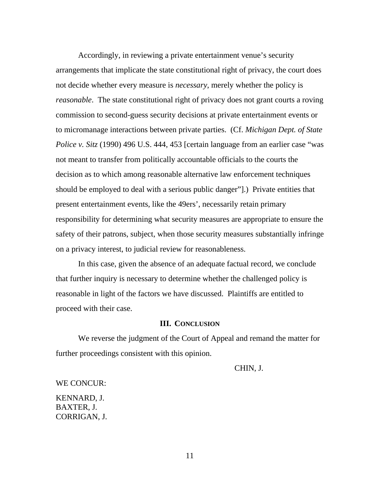Accordingly, in reviewing a private entertainment venue's security arrangements that implicate the state constitutional right of privacy, the court does not decide whether every measure is *necessary*, merely whether the policy is *reasonable*. The state constitutional right of privacy does not grant courts a roving commission to second-guess security decisions at private entertainment events or to micromanage interactions between private parties. (Cf. *Michigan Dept. of State Police v. Sitz* (1990) 496 U.S. 444, 453 [certain language from an earlier case "was not meant to transfer from politically accountable officials to the courts the decision as to which among reasonable alternative law enforcement techniques should be employed to deal with a serious public danger"].) Private entities that present entertainment events, like the 49ers', necessarily retain primary responsibility for determining what security measures are appropriate to ensure the safety of their patrons, subject, when those security measures substantially infringe on a privacy interest, to judicial review for reasonableness.

In this case, given the absence of an adequate factual record, we conclude that further inquiry is necessary to determine whether the challenged policy is reasonable in light of the factors we have discussed. Plaintiffs are entitled to proceed with their case.

### **III. CONCLUSION**

We reverse the judgment of the Court of Appeal and remand the matter for further proceedings consistent with this opinion.

CHIN, J.

WE CONCUR:

KENNARD, J. BAXTER, J. CORRIGAN, J.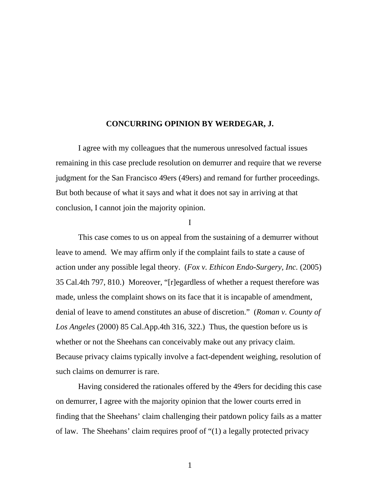# **CONCURRING OPINION BY WERDEGAR, J.**

I agree with my colleagues that the numerous unresolved factual issues remaining in this case preclude resolution on demurrer and require that we reverse judgment for the San Francisco 49ers (49ers) and remand for further proceedings. But both because of what it says and what it does not say in arriving at that conclusion, I cannot join the majority opinion.

I

This case comes to us on appeal from the sustaining of a demurrer without leave to amend. We may affirm only if the complaint fails to state a cause of action under any possible legal theory. (*Fox v. Ethicon Endo-Surgery, Inc.* (2005) 35 Cal.4th 797, 810.) Moreover, "[r]egardless of whether a request therefore was made, unless the complaint shows on its face that it is incapable of amendment, denial of leave to amend constitutes an abuse of discretion." (*Roman v. County of Los Angeles* (2000) 85 Cal.App.4th 316, 322.) Thus, the question before us is whether or not the Sheehans can conceivably make out any privacy claim. Because privacy claims typically involve a fact-dependent weighing, resolution of such claims on demurrer is rare.

Having considered the rationales offered by the 49ers for deciding this case on demurrer, I agree with the majority opinion that the lower courts erred in finding that the Sheehans' claim challenging their patdown policy fails as a matter of law. The Sheehans' claim requires proof of "(1) a legally protected privacy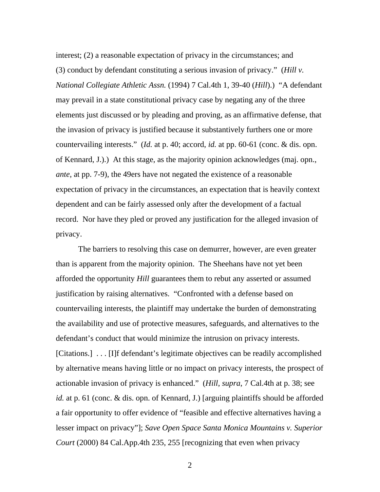interest; (2) a reasonable expectation of privacy in the circumstances; and (3) conduct by defendant constituting a serious invasion of privacy." (*Hill v. National Collegiate Athletic Assn.* (1994) 7 Cal.4th 1, 39-40 (*Hill*).) "A defendant may prevail in a state constitutional privacy case by negating any of the three elements just discussed or by pleading and proving, as an affirmative defense, that the invasion of privacy is justified because it substantively furthers one or more countervailing interests." (*Id.* at p. 40; accord, *id.* at pp. 60-61 (conc. & dis. opn. of Kennard, J.).) At this stage, as the majority opinion acknowledges (maj. opn., *ante*, at pp. 7-9), the 49ers have not negated the existence of a reasonable expectation of privacy in the circumstances, an expectation that is heavily context dependent and can be fairly assessed only after the development of a factual record. Nor have they pled or proved any justification for the alleged invasion of privacy.

The barriers to resolving this case on demurrer, however, are even greater than is apparent from the majority opinion. The Sheehans have not yet been afforded the opportunity *Hill* guarantees them to rebut any asserted or assumed justification by raising alternatives. "Confronted with a defense based on countervailing interests, the plaintiff may undertake the burden of demonstrating the availability and use of protective measures, safeguards, and alternatives to the defendant's conduct that would minimize the intrusion on privacy interests. [Citations.] . . . [I]f defendant's legitimate objectives can be readily accomplished by alternative means having little or no impact on privacy interests, the prospect of actionable invasion of privacy is enhanced." (*Hill*, *supra*, 7 Cal.4th at p. 38; see *id.* at p. 61 (conc. & dis. opn. of Kennard, J.) [arguing plaintiffs should be afforded a fair opportunity to offer evidence of "feasible and effective alternatives having a lesser impact on privacy"]; *Save Open Space Santa Monica Mountains v. Superior Court* (2000) 84 Cal.App.4th 235, 255 [recognizing that even when privacy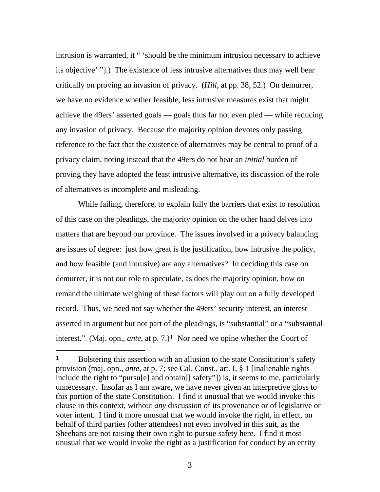intrusion is warranted, it " 'should be the minimum intrusion necessary to achieve its objective' "].) The existence of less intrusive alternatives thus may well bear critically on proving an invasion of privacy. (*Hill*, at pp. 38, 52.) On demurrer, we have no evidence whether feasible, less intrusive measures exist that might achieve the 49ers' asserted goals — goals thus far not even pled — while reducing any invasion of privacy. Because the majority opinion devotes only passing reference to the fact that the existence of alternatives may be central to proof of a privacy claim, noting instead that the 49ers do not bear an *initial* burden of proving they have adopted the least intrusive alternative, its discussion of the role of alternatives is incomplete and misleading.

While failing, therefore, to explain fully the barriers that exist to resolution of this case on the pleadings, the majority opinion on the other hand delves into matters that are beyond our province. The issues involved in a privacy balancing are issues of degree: just how great is the justification, how intrusive the policy, and how feasible (and intrusive) are any alternatives? In deciding this case on demurrer, it is not our role to speculate, as does the majority opinion, how on remand the ultimate weighing of these factors will play out on a fully developed record. Thus, we need not say whether the 49ers' security interest, an interest asserted in argument but not part of the pleadings, is "substantial" or a "substantial interest." (Maj. opn., *ante*, at p. 7.)**[1](#page-13-0)** Nor need we opine whether the Court of

 $\overline{a}$ 

<span id="page-13-0"></span>**<sup>1</sup>** Bolstering this assertion with an allusion to the state Constitution's safety provision (maj. opn., *ante*, at p. 7; see Cal. Const., art. I, § 1 [inalienable rights include the right to "pursu[e] and obtain[] safety"]) is, it seems to me, particularly unnecessary. Insofar as I am aware, we have never given an interpretive gloss to this portion of the state Constitution. I find it unusual that we would invoke this clause in this context, without *any* discussion of its provenance or of legislative or voter intent. I find it more unusual that we would invoke the right, in effect, on behalf of third parties (other attendees) not even involved in this suit, as the Sheehans are not raising their own right to pursue safety here. I find it most unusual that we would invoke the right as a justification for conduct by an entity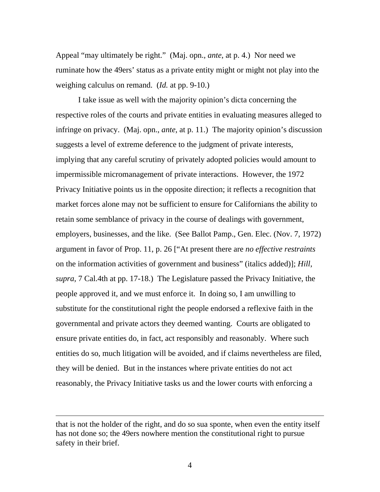Appeal "may ultimately be right." (Maj. opn., *ante*, at p. 4.) Nor need we ruminate how the 49ers' status as a private entity might or might not play into the weighing calculus on remand. (*Id.* at pp. 9-10.)

I take issue as well with the majority opinion's dicta concerning the respective roles of the courts and private entities in evaluating measures alleged to infringe on privacy. (Maj. opn., *ante*, at p. 11.) The majority opinion's discussion suggests a level of extreme deference to the judgment of private interests, implying that any careful scrutiny of privately adopted policies would amount to impermissible micromanagement of private interactions. However, the 1972 Privacy Initiative points us in the opposite direction; it reflects a recognition that market forces alone may not be sufficient to ensure for Californians the ability to retain some semblance of privacy in the course of dealings with government, employers, businesses, and the like. (See Ballot Pamp., Gen. Elec. (Nov. 7, 1972) argument in favor of Prop. 11, p. 26 ["At present there are *no effective restraints*  on the information activities of government and business" (italics added)]; *Hill*, *supra*, 7 Cal.4th at pp. 17-18.) The Legislature passed the Privacy Initiative, the people approved it, and we must enforce it. In doing so, I am unwilling to substitute for the constitutional right the people endorsed a reflexive faith in the governmental and private actors they deemed wanting. Courts are obligated to ensure private entities do, in fact, act responsibly and reasonably. Where such entities do so, much litigation will be avoided, and if claims nevertheless are filed, they will be denied. But in the instances where private entities do not act reasonably, the Privacy Initiative tasks us and the lower courts with enforcing a

that is not the holder of the right, and do so sua sponte, when even the entity itself has not done so; the 49ers nowhere mention the constitutional right to pursue safety in their brief.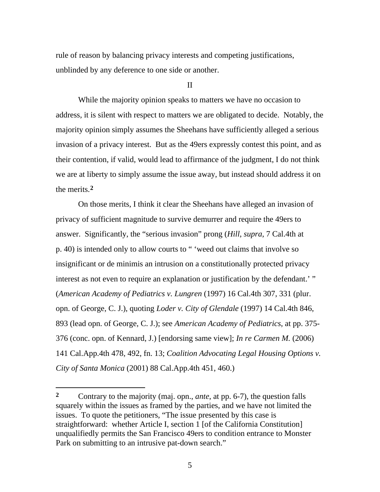rule of reason by balancing privacy interests and competing justifications, unblinded by any deference to one side or another.

II

While the majority opinion speaks to matters we have no occasion to address, it is silent with respect to matters we are obligated to decide. Notably, the majority opinion simply assumes the Sheehans have sufficiently alleged a serious invasion of a privacy interest. But as the 49ers expressly contest this point, and as their contention, if valid, would lead to affirmance of the judgment, I do not think we are at liberty to simply assume the issue away, but instead should address it on the merits.**[2](#page-15-0)**

On those merits, I think it clear the Sheehans have alleged an invasion of privacy of sufficient magnitude to survive demurrer and require the 49ers to answer. Significantly, the "serious invasion" prong (*Hill*, *supra*, 7 Cal.4th at p. 40) is intended only to allow courts to " 'weed out claims that involve so insignificant or de minimis an intrusion on a constitutionally protected privacy interest as not even to require an explanation or justification by the defendant.' " (*American Academy of Pediatrics v. Lungren* (1997) 16 Cal.4th 307, 331 (plur. opn. of George, C. J.), quoting *Loder v. City of Glendale* (1997) 14 Cal.4th 846, 893 (lead opn. of George, C. J.); see *American Academy of Pediatrics*, at pp. 375- 376 (conc. opn. of Kennard, J.) [endorsing same view]; *In re Carmen M.* (2006) 141 Cal.App.4th 478, 492, fn. 13; *Coalition Advocating Legal Housing Options v. City of Santa Monica* (2001) 88 Cal.App.4th 451, 460.)

 $\overline{a}$ 

<span id="page-15-0"></span>**<sup>2</sup>** Contrary to the majority (maj. opn., *ante*, at pp. 6-7), the question falls squarely within the issues as framed by the parties, and we have not limited the issues. To quote the petitioners, "The issue presented by this case is straightforward: whether Article I, section 1 [of the California Constitution] unqualifiedly permits the San Francisco 49ers to condition entrance to Monster Park on submitting to an intrusive pat-down search."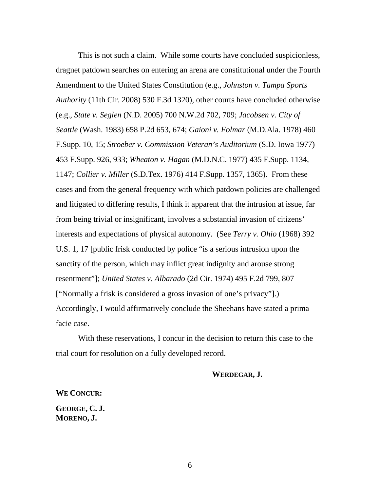This is not such a claim. While some courts have concluded suspicionless, dragnet patdown searches on entering an arena are constitutional under the Fourth Amendment to the United States Constitution (e.g., *Johnston v. Tampa Sports Authority* (11th Cir. 2008) 530 F.3d 1320), other courts have concluded otherwise (e.g., *State v. Seglen* (N.D. 2005) 700 N.W.2d 702, 709; *Jacobsen v. City of Seattle* (Wash. 1983) 658 P.2d 653, 674; *Gaioni v. Folmar* (M.D.Ala. 1978) 460 F.Supp. 10, 15; *Stroeber v. Commission Veteran's Auditorium* (S.D. Iowa 1977) 453 F.Supp. 926, 933; *Wheaton v. Hagan* (M.D.N.C. 1977) 435 F.Supp. 1134, 1147; *Collier v. Miller* (S.D.Tex. 1976) 414 F.Supp. 1357, 1365). From these cases and from the general frequency with which patdown policies are challenged and litigated to differing results, I think it apparent that the intrusion at issue, far from being trivial or insignificant, involves a substantial invasion of citizens' interests and expectations of physical autonomy. (See *Terry v. Ohio* (1968) 392 U.S. 1, 17 [public frisk conducted by police "is a serious intrusion upon the sanctity of the person, which may inflict great indignity and arouse strong resentment"]; *United States v. Albarado* (2d Cir. 1974) 495 F.2d 799, 807 ["Normally a frisk is considered a gross invasion of one's privacy"].) Accordingly, I would affirmatively conclude the Sheehans have stated a prima facie case.

With these reservations, I concur in the decision to return this case to the trial court for resolution on a fully developed record.

# **WERDEGAR, J.**

**WE CONCUR:** 

**GEORGE, C. J. MORENO, J.**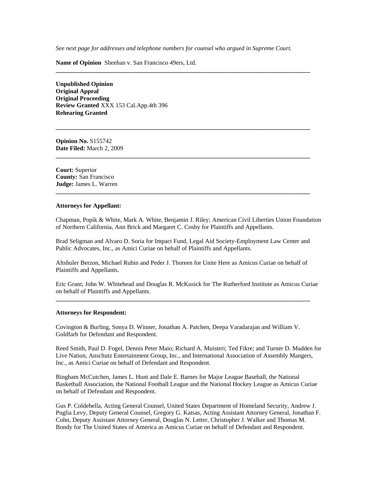See next page for addresses and telephone numbers for counsel who argued in Supreme Court.

**\_\_\_\_\_\_\_\_\_\_\_\_\_\_\_\_\_\_\_\_\_\_\_\_\_\_\_\_\_\_\_\_\_\_\_\_\_\_\_\_\_\_\_\_\_\_\_\_\_\_\_\_\_\_\_\_\_\_\_\_\_\_\_\_\_\_\_\_\_\_\_\_\_\_\_\_\_\_\_\_\_\_** 

**\_\_\_\_\_\_\_\_\_\_\_\_\_\_\_\_\_\_\_\_\_\_\_\_\_\_\_\_\_\_\_\_\_\_\_\_\_\_\_\_\_\_\_\_\_\_\_\_\_\_\_\_\_\_\_\_\_\_\_\_\_\_\_\_\_\_\_\_\_\_\_\_\_\_\_\_\_\_\_\_\_\_** 

**\_\_\_\_\_\_\_\_\_\_\_\_\_\_\_\_\_\_\_\_\_\_\_\_\_\_\_\_\_\_\_\_\_\_\_\_\_\_\_\_\_\_\_\_\_\_\_\_\_\_\_\_\_\_\_\_\_\_\_\_\_\_\_\_\_\_\_\_\_\_\_\_\_\_\_\_\_\_\_\_\_\_** 

**\_\_\_\_\_\_\_\_\_\_\_\_\_\_\_\_\_\_\_\_\_\_\_\_\_\_\_\_\_\_\_\_\_\_\_\_\_\_\_\_\_\_\_\_\_\_\_\_\_\_\_\_\_\_\_\_\_\_\_\_\_\_\_\_\_\_\_\_\_\_\_\_\_\_\_\_\_\_\_\_\_\_** 

**Name of Opinion** Sheehan v. San Francisco 49ers, Ltd.

**Unpublished Opinion Original Appeal Original Proceeding Review Granted** XXX 153 Cal.App.4th 396 **Rehearing Granted** 

**Opinion No.** S155742 **Date Filed:** March 2, 2009

**Court:** Superior **County:** San Francisco **Judge:** James L. Warren

#### **Attorneys for Appellant:**

Chapman, Popik & White, Mark A. White, Benjamin J. Riley; American Civil Liberties Union Foundation of Northern California, Ann Brick and Margaret C. Cosby for Plaintiffs and Appellants.

Brad Seligman and Alvaro D. Soria for Impact Fund, Legal Aid Society-Employment Law Center and Public Advocates, Inc., as Amici Curiae on behalf of Plaintiffs and Appellants.

Altshuler Berzon, Michael Rubin and Peder J. Thoreen for Unite Here as Amicus Curiae on behalf of Plaintiffs and Appellants.

Eric Grant; John W. Whitehead and Douglas R. McKusick for The Rutherford Institute as Amicus Curiae on behalf of Plaintiffs and Appellants.

**\_\_\_\_\_\_\_\_\_\_\_\_\_\_\_\_\_\_\_\_\_\_\_\_\_\_\_\_\_\_\_\_\_\_\_\_\_\_\_\_\_\_\_\_\_\_\_\_\_\_\_\_\_\_\_\_\_\_\_\_\_\_\_\_\_\_\_\_\_\_\_\_\_\_\_\_\_\_\_\_\_\_** 

#### **Attorneys for Respondent:**

Covington & Burling, Sonya D. Winner, Jonathan A. Patchen, Deepa Varadarajan and William V. Goldfarb for Defendant and Respondent.

Reed Smith, Paul D. Fogel, Dennis Peter Maio; Richard A. Muisteri; Ted Fikre; and Turner D. Madden for Live Nation, Anschutz Entertainment Group, Inc., and International Association of Assembly Mangers, Inc., as Amici Curiae on behalf of Defendant and Respondent.

Bingham McCutchen, James L. Hunt and Dale E. Barnes for Major League Baseball, the National Basketball Association, the National Football League and the National Hockey League as Amicus Curiae on behalf of Defendant and Respondent.

Gus P. Coldebella, Acting General Counsel, United States Department of Homeland Security, Andrew J. Puglia Levy, Deputy General Counsel, Gregory G. Katsas, Acting Assistant Attorney General, Jonathan F. Cohn, Deputy Assistant Attorney General, Douglas N. Letter, Christopher J. Walker and Thomas M. Bondy for The United States of America as Amicus Curiae on behalf of Defendant and Respondent.